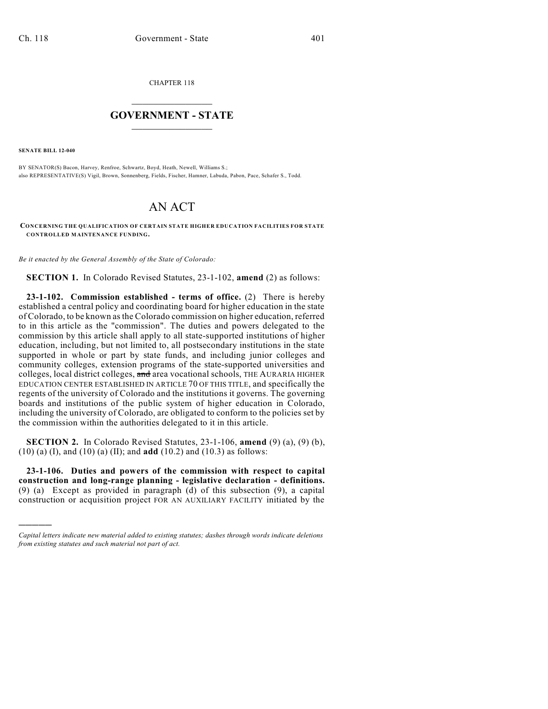CHAPTER 118

## $\overline{\phantom{a}}$  . The set of the set of the set of the set of the set of the set of the set of the set of the set of the set of the set of the set of the set of the set of the set of the set of the set of the set of the set o **GOVERNMENT - STATE**  $\_$

**SENATE BILL 12-040**

)))))

BY SENATOR(S) Bacon, Harvey, Renfroe, Schwartz, Boyd, Heath, Newell, Williams S.; also REPRESENTATIVE(S) Vigil, Brown, Sonnenberg, Fields, Fischer, Hamner, Labuda, Pabon, Pace, Schafer S., Todd.

## AN ACT

**CONCERNING THE QUALIFICATION OF CERTAIN STATE HIGHER EDUCATION FACILITIES FOR STATE CONTROLLED MAINTENANCE FUNDING.**

*Be it enacted by the General Assembly of the State of Colorado:*

**SECTION 1.** In Colorado Revised Statutes, 23-1-102, **amend** (2) as follows:

**23-1-102. Commission established - terms of office.** (2) There is hereby established a central policy and coordinating board for higher education in the state of Colorado, to be known asthe Colorado commission on higher education, referred to in this article as the "commission". The duties and powers delegated to the commission by this article shall apply to all state-supported institutions of higher education, including, but not limited to, all postsecondary institutions in the state supported in whole or part by state funds, and including junior colleges and community colleges, extension programs of the state-supported universities and colleges, local district colleges, and area vocational schools, THE AURARIA HIGHER EDUCATION CENTER ESTABLISHED IN ARTICLE 70 OF THIS TITLE, and specifically the regents of the university of Colorado and the institutions it governs. The governing boards and institutions of the public system of higher education in Colorado, including the university of Colorado, are obligated to conform to the policies set by the commission within the authorities delegated to it in this article.

**SECTION 2.** In Colorado Revised Statutes, 23-1-106, **amend** (9) (a), (9) (b), (10) (a) (I), and (10) (a) (II); and **add** (10.2) and (10.3) as follows:

**23-1-106. Duties and powers of the commission with respect to capital construction and long-range planning - legislative declaration - definitions.** (9) (a) Except as provided in paragraph (d) of this subsection (9), a capital construction or acquisition project FOR AN AUXILIARY FACILITY initiated by the

*Capital letters indicate new material added to existing statutes; dashes through words indicate deletions from existing statutes and such material not part of act.*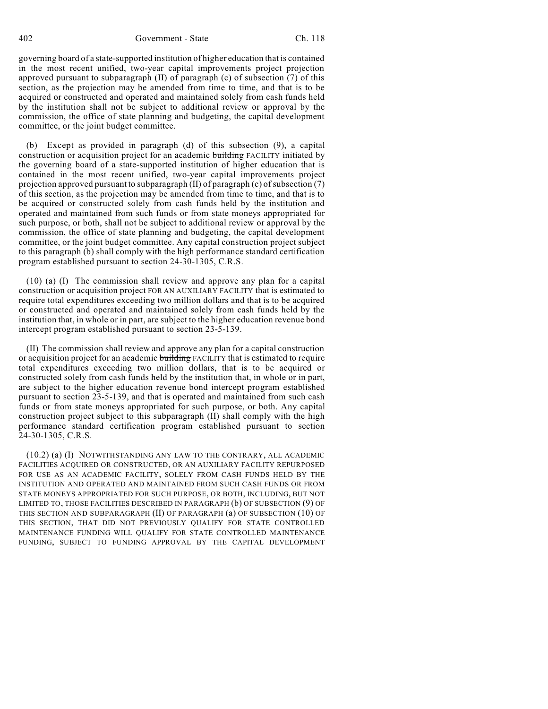governing board of a state-supported institution of higher education that is contained in the most recent unified, two-year capital improvements project projection approved pursuant to subparagraph (II) of paragraph (c) of subsection (7) of this section, as the projection may be amended from time to time, and that is to be acquired or constructed and operated and maintained solely from cash funds held by the institution shall not be subject to additional review or approval by the commission, the office of state planning and budgeting, the capital development committee, or the joint budget committee.

(b) Except as provided in paragraph (d) of this subsection (9), a capital construction or acquisition project for an academic building FACILITY initiated by the governing board of a state-supported institution of higher education that is contained in the most recent unified, two-year capital improvements project projection approved pursuant to subparagraph  $(II)$  of paragraph  $(c)$  of subsection  $(7)$ of this section, as the projection may be amended from time to time, and that is to be acquired or constructed solely from cash funds held by the institution and operated and maintained from such funds or from state moneys appropriated for such purpose, or both, shall not be subject to additional review or approval by the commission, the office of state planning and budgeting, the capital development committee, or the joint budget committee. Any capital construction project subject to this paragraph (b) shall comply with the high performance standard certification program established pursuant to section 24-30-1305, C.R.S.

(10) (a) (I) The commission shall review and approve any plan for a capital construction or acquisition project FOR AN AUXILIARY FACILITY that is estimated to require total expenditures exceeding two million dollars and that is to be acquired or constructed and operated and maintained solely from cash funds held by the institution that, in whole or in part, are subject to the higher education revenue bond intercept program established pursuant to section 23-5-139.

(II) The commission shall review and approve any plan for a capital construction or acquisition project for an academic building FACILITY that is estimated to require total expenditures exceeding two million dollars, that is to be acquired or constructed solely from cash funds held by the institution that, in whole or in part, are subject to the higher education revenue bond intercept program established pursuant to section 23-5-139, and that is operated and maintained from such cash funds or from state moneys appropriated for such purpose, or both. Any capital construction project subject to this subparagraph (II) shall comply with the high performance standard certification program established pursuant to section 24-30-1305, C.R.S.

(10.2) (a) (I) NOTWITHSTANDING ANY LAW TO THE CONTRARY, ALL ACADEMIC FACILITIES ACQUIRED OR CONSTRUCTED, OR AN AUXILIARY FACILITY REPURPOSED FOR USE AS AN ACADEMIC FACILITY, SOLELY FROM CASH FUNDS HELD BY THE INSTITUTION AND OPERATED AND MAINTAINED FROM SUCH CASH FUNDS OR FROM STATE MONEYS APPROPRIATED FOR SUCH PURPOSE, OR BOTH, INCLUDING, BUT NOT LIMITED TO, THOSE FACILITIES DESCRIBED IN PARAGRAPH (b) OF SUBSECTION (9) OF THIS SECTION AND SUBPARAGRAPH (II) OF PARAGRAPH (a) OF SUBSECTION (10) OF THIS SECTION, THAT DID NOT PREVIOUSLY QUALIFY FOR STATE CONTROLLED MAINTENANCE FUNDING WILL QUALIFY FOR STATE CONTROLLED MAINTENANCE FUNDING, SUBJECT TO FUNDING APPROVAL BY THE CAPITAL DEVELOPMENT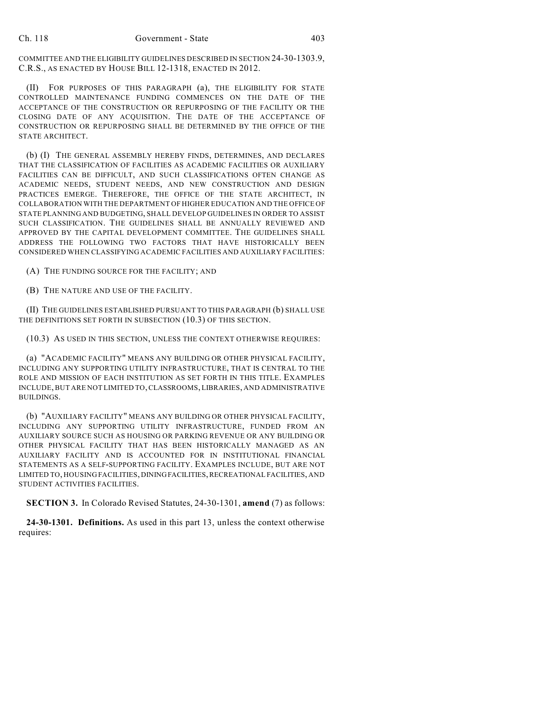COMMITTEE AND THE ELIGIBILITY GUIDELINES DESCRIBED IN SECTION 24-30-1303.9, C.R.S., AS ENACTED BY HOUSE BILL 12-1318, ENACTED IN 2012.

(II) FOR PURPOSES OF THIS PARAGRAPH (a), THE ELIGIBILITY FOR STATE CONTROLLED MAINTENANCE FUNDING COMMENCES ON THE DATE OF THE ACCEPTANCE OF THE CONSTRUCTION OR REPURPOSING OF THE FACILITY OR THE CLOSING DATE OF ANY ACQUISITION. THE DATE OF THE ACCEPTANCE OF CONSTRUCTION OR REPURPOSING SHALL BE DETERMINED BY THE OFFICE OF THE STATE ARCHITECT.

(b) (I) THE GENERAL ASSEMBLY HEREBY FINDS, DETERMINES, AND DECLARES THAT THE CLASSIFICATION OF FACILITIES AS ACADEMIC FACILITIES OR AUXILIARY FACILITIES CAN BE DIFFICULT, AND SUCH CLASSIFICATIONS OFTEN CHANGE AS ACADEMIC NEEDS, STUDENT NEEDS, AND NEW CONSTRUCTION AND DESIGN PRACTICES EMERGE. THEREFORE, THE OFFICE OF THE STATE ARCHITECT, IN COLLABORATION WITH THE DEPARTMENT OF HIGHER EDUCATION AND THE OFFICE OF STATE PLANNING AND BUDGETING, SHALL DEVELOP GUIDELINES IN ORDER TO ASSIST SUCH CLASSIFICATION. THE GUIDELINES SHALL BE ANNUALLY REVIEWED AND APPROVED BY THE CAPITAL DEVELOPMENT COMMITTEE. THE GUIDELINES SHALL ADDRESS THE FOLLOWING TWO FACTORS THAT HAVE HISTORICALLY BEEN CONSIDERED WHEN CLASSIFYING ACADEMIC FACILITIES AND AUXILIARY FACILITIES:

(A) THE FUNDING SOURCE FOR THE FACILITY; AND

(B) THE NATURE AND USE OF THE FACILITY.

(II) THE GUIDELINES ESTABLISHED PURSUANT TO THIS PARAGRAPH (b) SHALL USE THE DEFINITIONS SET FORTH IN SUBSECTION (10.3) OF THIS SECTION.

(10.3) AS USED IN THIS SECTION, UNLESS THE CONTEXT OTHERWISE REQUIRES:

(a) "ACADEMIC FACILITY" MEANS ANY BUILDING OR OTHER PHYSICAL FACILITY, INCLUDING ANY SUPPORTING UTILITY INFRASTRUCTURE, THAT IS CENTRAL TO THE ROLE AND MISSION OF EACH INSTITUTION AS SET FORTH IN THIS TITLE. EXAMPLES INCLUDE, BUT ARE NOT LIMITED TO,CLASSROOMS, LIBRARIES, AND ADMINISTRATIVE BUILDINGS.

(b) "AUXILIARY FACILITY" MEANS ANY BUILDING OR OTHER PHYSICAL FACILITY, INCLUDING ANY SUPPORTING UTILITY INFRASTRUCTURE, FUNDED FROM AN AUXILIARY SOURCE SUCH AS HOUSING OR PARKING REVENUE OR ANY BUILDING OR OTHER PHYSICAL FACILITY THAT HAS BEEN HISTORICALLY MANAGED AS AN AUXILIARY FACILITY AND IS ACCOUNTED FOR IN INSTITUTIONAL FINANCIAL STATEMENTS AS A SELF-SUPPORTING FACILITY. EXAMPLES INCLUDE, BUT ARE NOT LIMITED TO, HOUSING FACILITIES, DINING FACILITIES, RECREATIONAL FACILITIES, AND STUDENT ACTIVITIES FACILITIES.

**SECTION 3.** In Colorado Revised Statutes, 24-30-1301, **amend** (7) as follows:

**24-30-1301. Definitions.** As used in this part 13, unless the context otherwise requires: